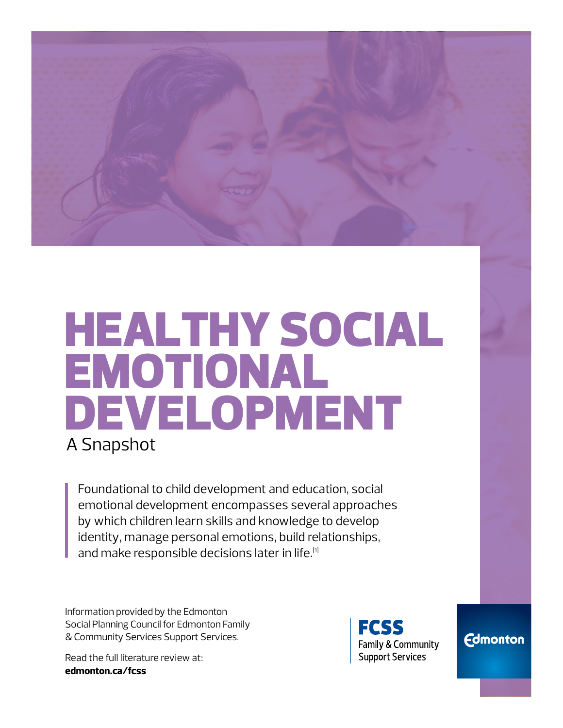

# HEALTHY SOCIAL EMOTIONAL DEVELOPMENT A Snapshot

Foundational to child development and education, social emotional development encompasses several approaches by which children learn skills and knowledge to develop identity, manage personal emotions, build relationships, and make responsible decisions later in life.<sup>[1]</sup>

Information provided by the Edmonton Social Planning Council for Edmonton Family & Community Services Support Services.

Read the full literature review at: **[edmonton.ca/fcss](http://edmonton.ca/fcss)**



**Edmonton**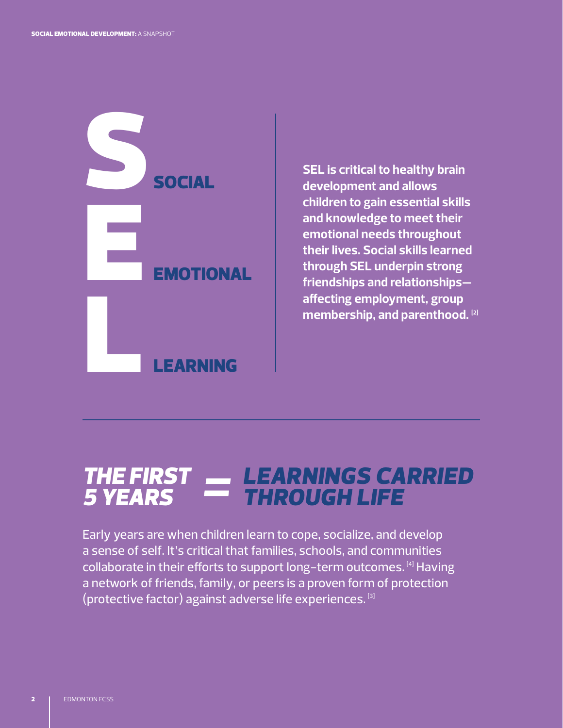

**SEL is critical to healthy brain development and allows children to gain essential skills and knowledge to meet their emotional needs throughout their lives. Social skills learned through SEL underpin strong friendships and relationships affecting employment, group membership, and parenthood. [2]**

### *LEARNINGS CARRIED THROUGH LIFE THE FIRST 5 YEARS =*

Early years are when children learn to cope, socialize, and develop a sense of self. It's critical that families, schools, and communities collaborate in their efforts to support long-term outcomes. [4] Having a network of friends, family, or peers is a proven form of protection (protective factor) against adverse life experiences. [3]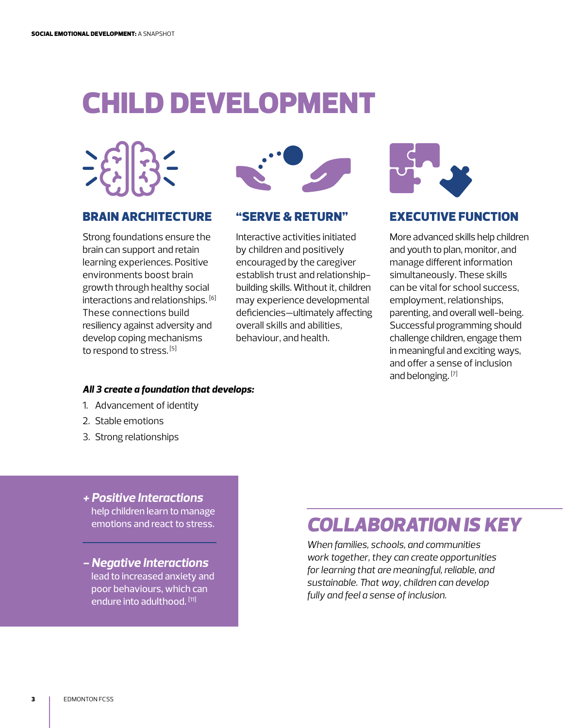## CHILD DEVELOPMENT



#### BRAIN ARCHITECTURE

Strong foundations ensure the brain can support and retain learning experiences. Positive environments boost brain growth through healthy social interactions and relationships. [6] These connections build resiliency against adversity and develop coping mechanisms to respond to stress. [5]



#### "SERVE & RETURN"

Interactive activities initiated by children and positively encouraged by the caregiver establish trust and relationshipbuilding skills. Without it, children may experience developmental deficiencies—ultimately affecting overall skills and abilities, behaviour, and health.



### EXECUTIVE FUNCTION

More advanced skills help children and youth to plan, monitor, and manage different information simultaneously. These skills can be vital for school success, employment, relationships, parenting, and overall well-being. Successful programming should challenge children, engage them in meaningful and exciting ways, and offer a sense of inclusion and belonging. [7]

#### *All 3 create a foundation that develops:*

- 1. Advancement of identity
- 2. Stable emotions
- 3. Strong relationships
- *+ Positive Interactions* help children learn to manage emotions and react to stress.
- *Negative Interactions* lead to increased anxiety and poor behaviours, which can endure into adulthood. [11]

## *COLLABORATION IS KEY*

*When families, schools, and communities work together, they can create opportunities for learning that are meaningful, reliable, and sustainable. That way, children can develop fully and feel a sense of inclusion.*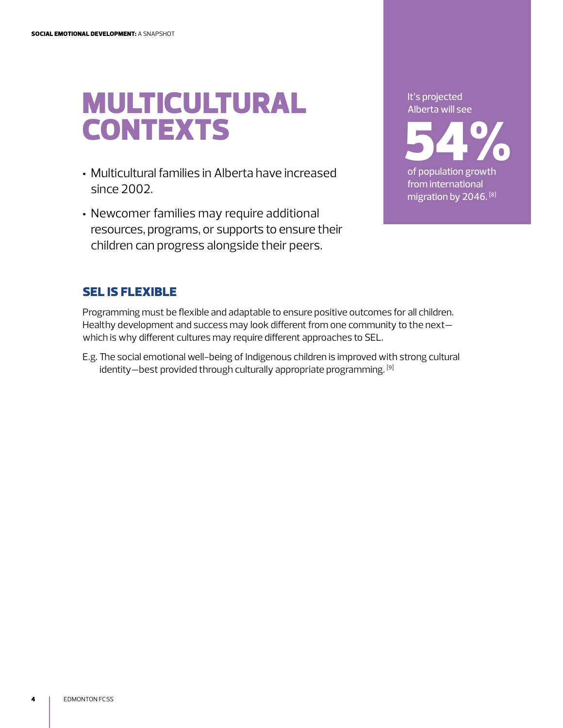## MULTICULTURAL CONTEXTS

- Multicultural families in Alberta have increased since 2002.
- Newcomer families may require additional resources, programs, or supports to ensure their children can progress alongside their peers.

It's projected Alberta will see

54% of population growth from international migration by 2046.<sup>[8]</sup>

### SEL IS FLEXIBLE

Programming must be flexible and adaptable to ensure positive outcomes for all children. Healthy development and success may look different from one community to the next which is why different cultures may require different approaches to SEL.

E.g. The social emotional well-being of Indigenous children is improved with strong cultural identity—best provided through culturally appropriate programming. [9]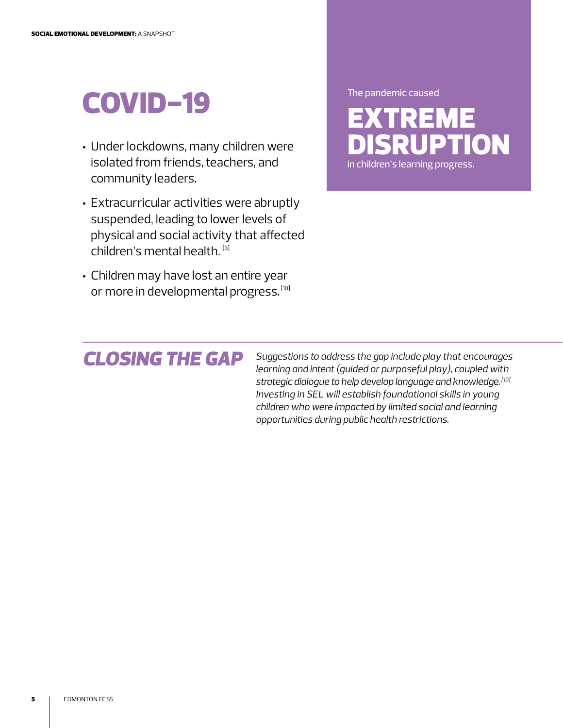## COVID-19

- Under lockdowns, many children were isolated from friends, teachers, and community leaders.
- Extracurricular activities were abruptly suspended, leading to lower levels of physical and social activity that affected children's mental health. [3]
- Children may have lost an entire year or more in developmental progress. [10]

## *CLOSING THE GAP*

*Suggestions to address the gap include play that encourages learning and intent (guided or purposeful play), coupled with strategic dialogue to help develop language and knowledge. [10] Investing in SEL will establish foundational skills in young children who were impacted by limited social and learning opportunities during public health restrictions.*

EXTREME IPTION The pandemic caused

in children's learning progress.

**5** | EDMONTON FCSS